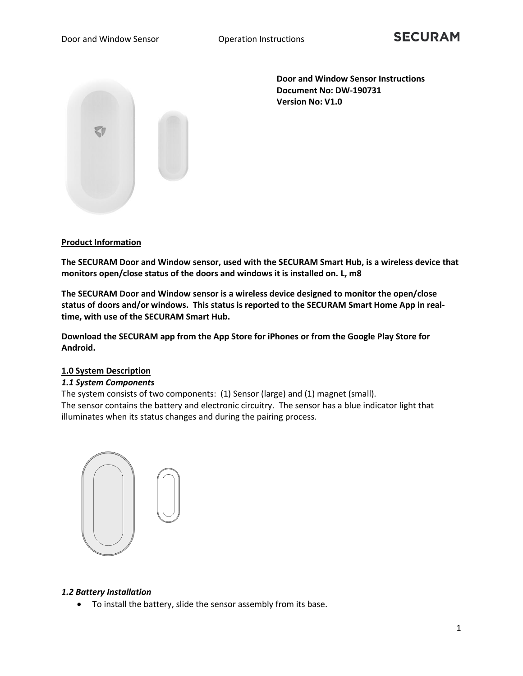

**Door and Window Sensor Instructions Document No: DW-190731 Version No: V1.0** 

# **Product Information**

**The SECURAM Door and Window sensor, used with the SECURAM Smart Hub, is a wireless device that monitors open/close status of the doors and windows it is installed on. L, m8**

**The SECURAM Door and Window sensor is a wireless device designed to monitor the open/close status of doors and/or windows. This status is reported to the SECURAM Smart Home App in realtime, with use of the SECURAM Smart Hub.**

**Download the SECURAM app from the App Store for iPhones or from the Google Play Store for Android.**

# **1.0 System Description**

# *1.1 System Components*

The system consists of two components: (1) Sensor (large) and (1) magnet (small). The sensor contains the battery and electronic circuitry. The sensor has a blue indicator light that illuminates when its status changes and during the pairing process.



# *1.2 Battery Installation*

• To install the battery, slide the sensor assembly from its base.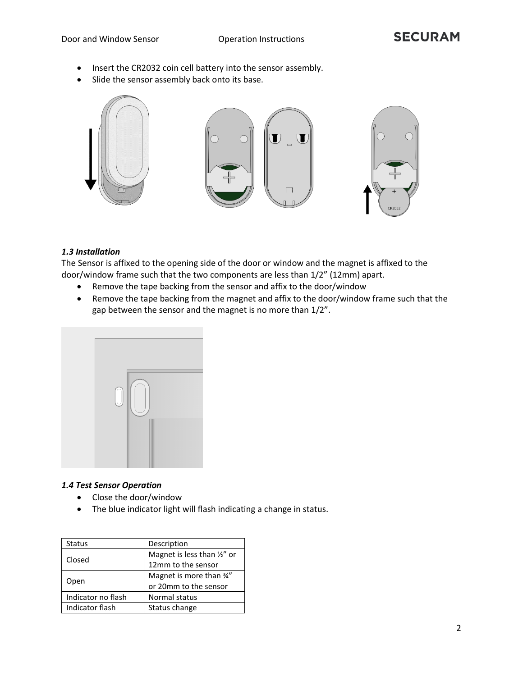- Insert the CR2032 coin cell battery into the sensor assembly.
- Slide the sensor assembly back onto its base.



# *1.3 Installation*

The Sensor is affixed to the opening side of the door or window and the magnet is affixed to the door/window frame such that the two components are less than 1/2" (12mm) apart.

- Remove the tape backing from the sensor and affix to the door/window
- Remove the tape backing from the magnet and affix to the door/window frame such that the gap between the sensor and the magnet is no more than 1/2".



# *1.4 Test Sensor Operation*

- Close the door/window
- The blue indicator light will flash indicating a change in status.

| <b>Status</b>      | Description                            |  |  |  |  |
|--------------------|----------------------------------------|--|--|--|--|
| Closed             | Magnet is less than $\frac{1}{2}$ " or |  |  |  |  |
|                    | 12mm to the sensor                     |  |  |  |  |
|                    | Magnet is more than 34"                |  |  |  |  |
| Open               | or 20mm to the sensor                  |  |  |  |  |
| Indicator no flash | Normal status                          |  |  |  |  |
| Indicator flash    | Status change                          |  |  |  |  |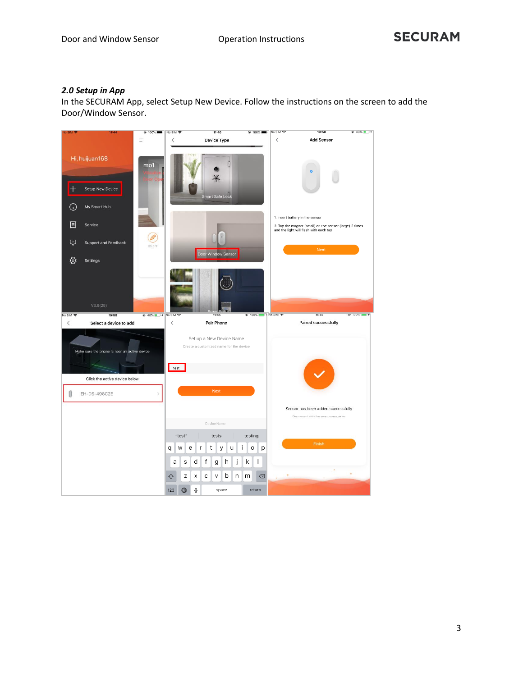# *2.0 Setup in App*

In the SECURAM App, select Setup New Device. Follow the instructions on the screen to add the Door/Window Sensor.

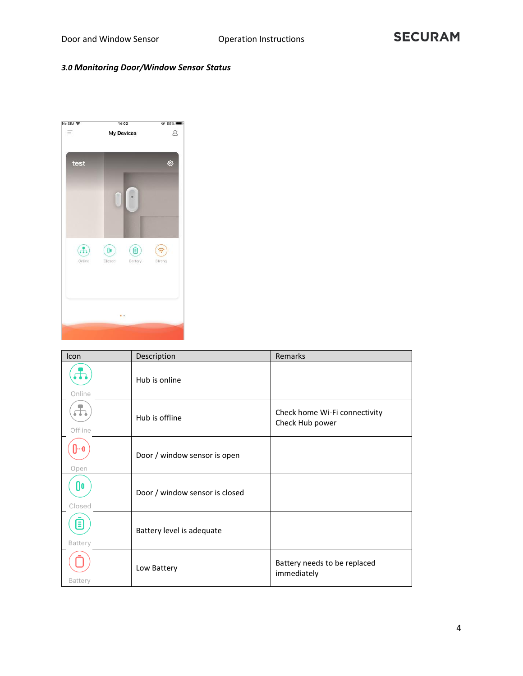# *3.0 Monitoring Door/Window Sensor Status*



| Icon                    | Description                    | <b>Remarks</b>                                   |  |  |  |  |
|-------------------------|--------------------------------|--------------------------------------------------|--|--|--|--|
| Online                  | Hub is online                  |                                                  |  |  |  |  |
| $\mathbf{r}$<br>Offline | Hub is offline                 | Check home Wi-Fi connectivity<br>Check Hub power |  |  |  |  |
| Ո…օ<br>Open             | Door / window sensor is open   |                                                  |  |  |  |  |
| 0o<br>Closed            | Door / window sensor is closed |                                                  |  |  |  |  |
| ⊟<br>Battery            | Battery level is adequate      |                                                  |  |  |  |  |
| Battery                 | Low Battery                    | Battery needs to be replaced<br>immediately      |  |  |  |  |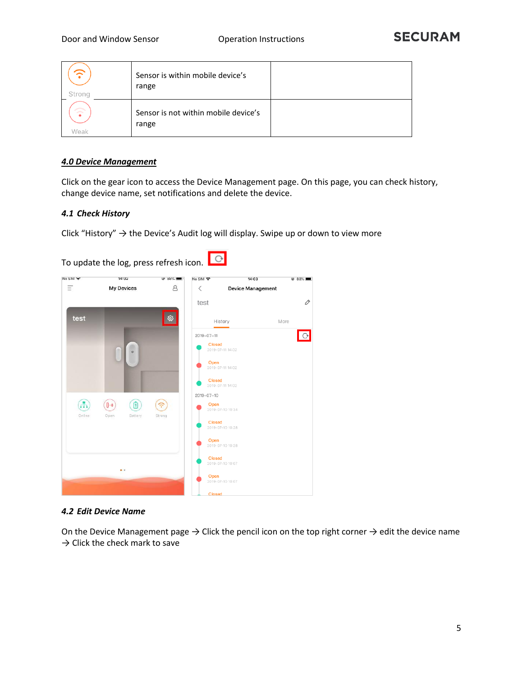| ≂<br>Strona                    | Sensor is within mobile device's<br>range     |  |
|--------------------------------|-----------------------------------------------|--|
| $\widehat{\mathbb{C}}$<br>Weak | Sensor is not within mobile device's<br>range |  |

### *4.0 Device Management*

Click on the gear icon to access the Device Management page. On this page, you can check history, change device name, set notifications and delete the device.

#### *4.1 Check History*

Click "History"  $\rightarrow$  the Device's Audit log will display. Swipe up or down to view more



#### *4.2 Edit Device Name*

On the Device Management page  $\rightarrow$  Click the pencil icon on the top right corner  $\rightarrow$  edit the device name  $\rightarrow$  Click the check mark to save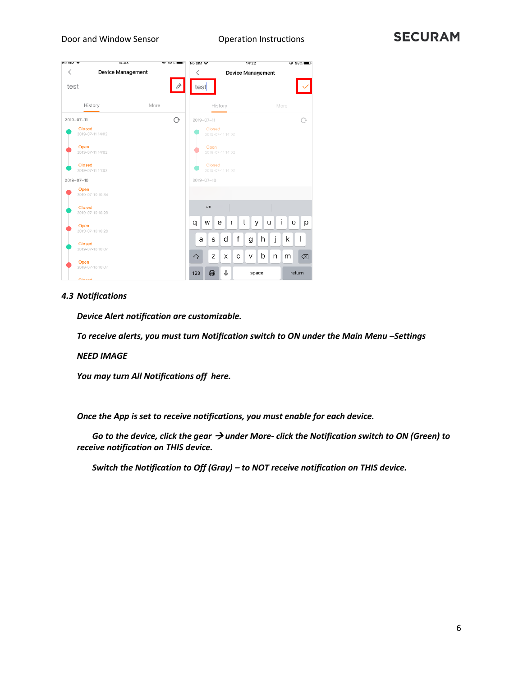| <b>IND SIM A</b>                         | 14.05                    | $\bullet$ 00% | No SIM Y         |                            |                   |   | 14:22                    |   |   |        | $\bullet$ 85%  |
|------------------------------------------|--------------------------|---------------|------------------|----------------------------|-------------------|---|--------------------------|---|---|--------|----------------|
| $\overline{\left\langle \right\rangle }$ | <b>Device Management</b> |               | く                |                            |                   |   | <b>Device Management</b> |   |   |        |                |
| test                                     |                          |               | test             |                            |                   |   |                          |   |   |        |                |
|                                          | History                  | More          |                  |                            | History           |   |                          |   |   | More   |                |
| $2019 - 07 - 11$                         |                          | O             | $2019 - 07 - 11$ |                            |                   |   |                          |   |   |        | ∩              |
| <b>Closed</b>                            | 2019-07-11 14:02         |               |                  | Closed<br>2019-07-11 14:02 |                   |   |                          |   |   |        |                |
| Open                                     | 2019-07-11 14:02         |               |                  | Open<br>2019-07-11 14:02   |                   |   |                          |   |   |        |                |
| <b>Closed</b>                            | 2019-07-11 14:02         |               |                  | Closed<br>2019-07-11 14:02 |                   |   |                          |   |   |        |                |
| $2019 - 07 - 10$                         |                          |               | $2019 - 07 - 10$ |                            |                   |   |                          |   |   |        |                |
| Open                                     | 2019-07-10 10:34         |               |                  |                            |                   |   |                          |   |   |        |                |
| <b>Closed</b>                            | 2019-07-10 10:28         |               |                  | $\boldsymbol{H}$           |                   |   |                          |   |   |        |                |
| Open                                     | 2019-07-10 10:28         |               | q                | W                          | e<br>$\mathsf{r}$ | t |                          | У | u | i<br>O | р              |
|                                          |                          |               | a                | S                          | d                 | f | g                        | h | j | k      | $\overline{1}$ |
| <b>Closed</b>                            | 2019-07-10 10:07         |               |                  |                            |                   |   |                          |   |   |        |                |
|                                          |                          |               | ♦                | Z                          | X                 | C | V                        | b | n | m      | $\circledcirc$ |
| Open                                     | 2019-07-10 10:07         |               | 123              | ⊕                          | Q                 |   | space                    |   |   |        | return         |
| <b>Classed</b>                           |                          |               |                  |                            |                   |   |                          |   |   |        |                |

#### *4.3 Notifications*

*Device Alert notification are customizable.* 

*To receive alerts, you must turn Notification switch to ON under the Main Menu –Settings*

*NEED IMAGE*

*You may turn All Notifications off here.*

*Once the App is set to receive notifications, you must enable for each device.*

*Go to the device, click the gear → under More- click the Notification switch to ON (Green) to receive notification on THIS device.*

*Switch the Notification to Off (Gray) – to NOT receive notification on THIS device.*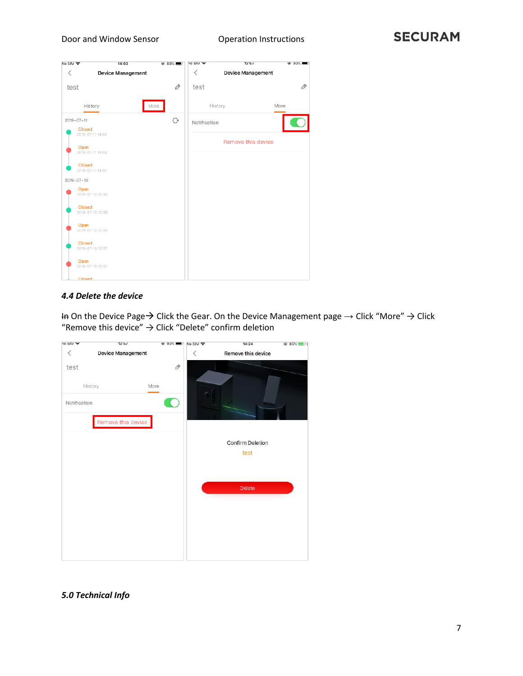

# *4.4 Delete the device*

In On the Device Page→ Click the Gear. On the Device Management page → Click "More" → Click "Remove this device"  $\rightarrow$  Click "Delete" confirm deletion



*5.0 Technical Info*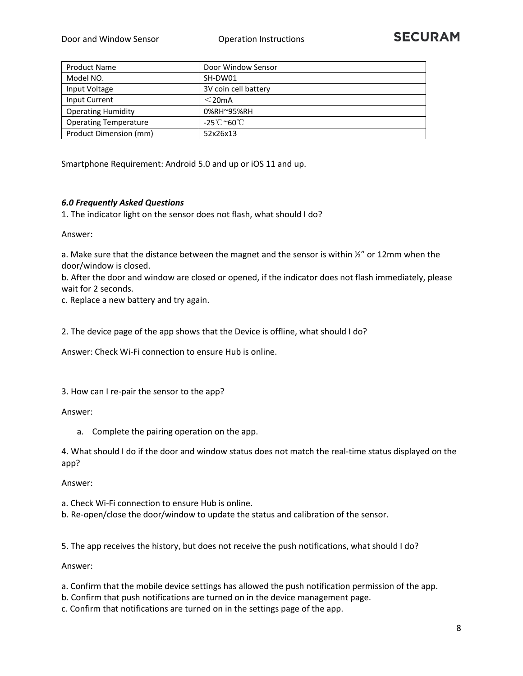| <b>Product Name</b>          | Door Window Sensor               |
|------------------------------|----------------------------------|
| Model NO.                    | SH-DW01                          |
| Input Voltage                | 3V coin cell battery             |
| Input Current                | $<$ 20mA                         |
| <b>Operating Humidity</b>    | 0%RH~95%RH                       |
| <b>Operating Temperature</b> | $-25^{\circ}$ C ~60 $^{\circ}$ C |
| Product Dimension (mm)       | 52x26x13                         |

Smartphone Requirement: Android 5.0 and up or iOS 11 and up.

#### *6.0 Frequently Asked Questions*

1. The indicator light on the sensor does not flash, what should I do?

Answer:

a. Make sure that the distance between the magnet and the sensor is within  $\frac{1}{2}$ " or 12mm when the door/window is closed.

b. After the door and window are closed or opened, if the indicator does not flash immediately, please wait for 2 seconds.

c. Replace a new battery and try again.

2. The device page of the app shows that the Device is offline, what should I do?

Answer: Check Wi-Fi connection to ensure Hub is online.

3. How can I re-pair the sensor to the app?

#### Answer:

a. Complete the pairing operation on the app.

4. What should I do if the door and window status does not match the real-time status displayed on the app?

Answer:

a. Check Wi-Fi connection to ensure Hub is online.

b. Re-open/close the door/window to update the status and calibration of the sensor.

5. The app receives the history, but does not receive the push notifications, what should I do?

Answer:

- a. Confirm that the mobile device settings has allowed the push notification permission of the app.
- b. Confirm that push notifications are turned on in the device management page.
- c. Confirm that notifications are turned on in the settings page of the app.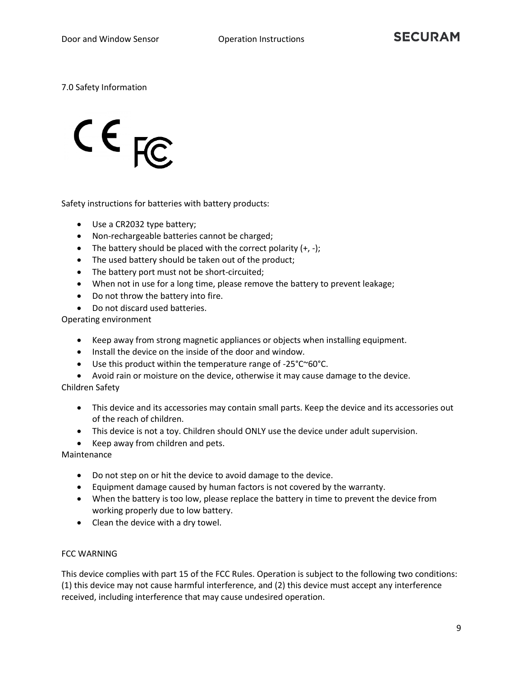# 7.0 Safety Information

 $CE_{FC}$ 

Safety instructions for batteries with battery products:

- Use a CR2032 type battery;
- Non-rechargeable batteries cannot be charged;
- The battery should be placed with the correct polarity  $(+, -);$
- The used battery should be taken out of the product;
- The battery port must not be short-circuited;
- When not in use for a long time, please remove the battery to prevent leakage;
- Do not throw the battery into fire.
- Do not discard used batteries.

Operating environment

- Keep away from strong magnetic appliances or objects when installing equipment.
- Install the device on the inside of the door and window.
- Use this product within the temperature range of -25°C~60°C.
- Avoid rain or moisture on the device, otherwise it may cause damage to the device.

#### Children Safety

- This device and its accessories may contain small parts. Keep the device and its accessories out of the reach of children.
- This device is not a toy. Children should ONLY use the device under adult supervision.
- Keep away from children and pets.

Maintenance

- Do not step on or hit the device to avoid damage to the device.
- Equipment damage caused by human factors is not covered by the warranty.
- When the battery is too low, please replace the battery in time to prevent the device from working properly due to low battery.
- Clean the device with a dry towel.

#### FCC WARNING

This device complies with part 15 of the FCC Rules. Operation is subject to the following two conditions: (1) this device may not cause harmful interference, and (2) this device must accept any interference received, including interference that may cause undesired operation.